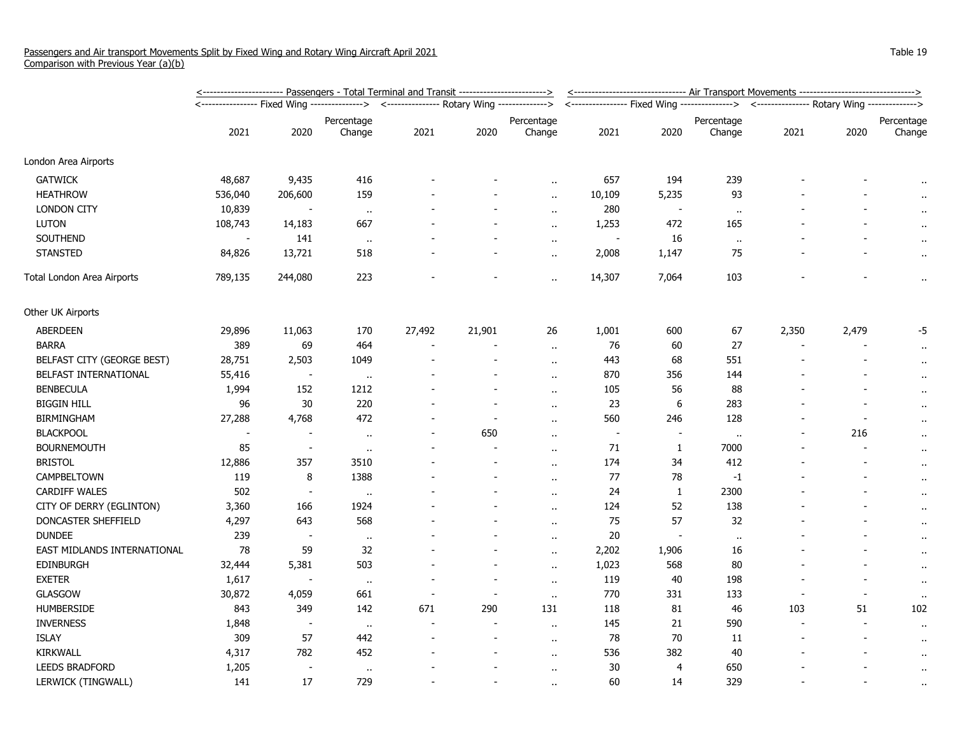|                             | <u>&lt;----------------------- Passengers - Total Terminal and Transit ------------------------&gt;</u> | <u>&lt;------------------------------- Air Transport Movements -------------------------------&gt;</u> |              |                                             |                          |                      |                                                                                            |                |            |       |       |             |
|-----------------------------|---------------------------------------------------------------------------------------------------------|--------------------------------------------------------------------------------------------------------|--------------|---------------------------------------------|--------------------------|----------------------|--------------------------------------------------------------------------------------------|----------------|------------|-------|-------|-------------|
|                             |                                                                                                         |                                                                                                        |              | <--------------- Rotary Wing -------------> |                          |                      | <---------------- Fixed Wing ---------------> <--------------- Rotary Wing --------------> |                |            |       |       |             |
|                             |                                                                                                         |                                                                                                        | Percentage   |                                             |                          | Percentage           |                                                                                            |                | Percentage |       |       | Percentage  |
|                             | 2021                                                                                                    | 2020                                                                                                   | Change       | 2021                                        | 2020                     | Change               | 2021                                                                                       | 2020           | Change     | 2021  | 2020  | Change      |
| London Area Airports        |                                                                                                         |                                                                                                        |              |                                             |                          |                      |                                                                                            |                |            |       |       |             |
| <b>GATWICK</b>              | 48,687                                                                                                  | 9,435                                                                                                  | 416          |                                             |                          |                      | 657                                                                                        | 194            | 239        |       |       | $\bullet$ . |
| <b>HEATHROW</b>             | 536,040                                                                                                 | 206,600                                                                                                | 159          |                                             |                          | $\ddot{\phantom{a}}$ | 10,109                                                                                     | 5,235          | 93         |       |       | $\bullet$   |
| <b>LONDON CITY</b>          | 10,839                                                                                                  |                                                                                                        | $\cdot$      |                                             |                          | $\ddot{\phantom{a}}$ | 280                                                                                        | $\blacksquare$ | $\cdot$ .  |       |       | $\cdot$     |
| <b>LUTON</b>                | 108,743                                                                                                 | 14,183                                                                                                 | 667          |                                             |                          | $\ddot{\phantom{a}}$ | 1,253                                                                                      | 472            | 165        |       |       |             |
| SOUTHEND                    | $\sim$                                                                                                  | 141                                                                                                    | $\sim$       |                                             |                          | $\sim$               | $\sim$                                                                                     | 16             | $\alpha$ . |       |       | $\bullet$   |
| <b>STANSTED</b>             | 84,826                                                                                                  | 13,721                                                                                                 | 518          |                                             |                          | $\ddot{\phantom{1}}$ | 2,008                                                                                      | 1,147          | 75         |       |       | $\cdot$ .   |
| Total London Area Airports  | 789,135                                                                                                 | 244,080                                                                                                | 223          |                                             |                          | $\alpha$             | 14,307                                                                                     | 7,064          | 103        |       |       | $\bullet$ . |
| Other UK Airports           |                                                                                                         |                                                                                                        |              |                                             |                          |                      |                                                                                            |                |            |       |       |             |
| <b>ABERDEEN</b>             | 29,896                                                                                                  | 11,063                                                                                                 | 170          | 27,492                                      | 21,901                   | 26                   | 1,001                                                                                      | 600            | 67         | 2,350 | 2,479 | -5          |
| <b>BARRA</b>                | 389                                                                                                     | 69                                                                                                     | 464          |                                             |                          | $\sim$               | 76                                                                                         | 60             | 27         |       |       | $\cdot$     |
| BELFAST CITY (GEORGE BEST)  | 28,751                                                                                                  | 2,503                                                                                                  | 1049         |                                             | $\overline{a}$           | $\alpha$ .           | 443                                                                                        | 68             | 551        |       |       | $\bullet$ . |
| BELFAST INTERNATIONAL       | 55,416                                                                                                  | $\overline{\phantom{a}}$                                                                               | $\cdots$     |                                             |                          | $\alpha$             | 870                                                                                        | 356            | 144        |       |       | $\cdot$ .   |
| <b>BENBECULA</b>            | 1,994                                                                                                   | 152                                                                                                    | 1212         |                                             |                          | $\alpha$             | 105                                                                                        | 56             | 88         |       |       | $\cdot$ .   |
| <b>BIGGIN HILL</b>          | 96                                                                                                      | 30                                                                                                     | 220          |                                             | $\overline{\phantom{a}}$ | $\ddot{\phantom{a}}$ | 23                                                                                         | 6              | 283        |       |       | $\alpha$    |
| <b>BIRMINGHAM</b>           | 27,288                                                                                                  | 4,768                                                                                                  | 472          |                                             |                          | $\sim$               | 560                                                                                        | 246            | 128        |       |       | $\cdot$     |
| <b>BLACKPOOL</b>            |                                                                                                         |                                                                                                        | $\cdot$      |                                             | 650                      | $\ddot{\phantom{a}}$ | $\overline{\phantom{a}}$                                                                   |                | $\bullet$  |       | 216   | $\cdot$ .   |
| <b>BOURNEMOUTH</b>          | 85                                                                                                      | $\overline{\phantom{a}}$                                                                               | $\cdots$     |                                             |                          | $\ddot{\phantom{a}}$ | 71                                                                                         | $\mathbf{1}$   | 7000       |       |       | $\bullet$   |
| <b>BRISTOL</b>              | 12,886                                                                                                  | 357                                                                                                    | 3510         |                                             |                          | $\ddot{\phantom{1}}$ | 174                                                                                        | 34             | 412        |       |       | $\cdot$ .   |
| CAMPBELTOWN                 | 119                                                                                                     | 8                                                                                                      | 1388         |                                             |                          | $\alpha$             | 77                                                                                         | 78             | $-1$       |       |       | $\cdot$ .   |
| <b>CARDIFF WALES</b>        | 502                                                                                                     | $\overline{\phantom{a}}$                                                                               | $\mathbf{u}$ |                                             |                          | $\alpha$ .           | 24                                                                                         | $\mathbf{1}$   | 2300       |       |       | $\alpha$    |
| CITY OF DERRY (EGLINTON)    | 3,360                                                                                                   | 166                                                                                                    | 1924         |                                             |                          | $\alpha$ .           | 124                                                                                        | 52             | 138        |       |       | $\cdot$     |
| DONCASTER SHEFFIELD         | 4,297                                                                                                   | 643                                                                                                    | 568          |                                             |                          | $\ddot{\phantom{a}}$ | 75                                                                                         | 57             | 32         |       |       | $\cdot$     |
| <b>DUNDEE</b>               | 239                                                                                                     | $\overline{\phantom{a}}$                                                                               | $\cdots$     |                                             |                          | $\ddot{\phantom{a}}$ | 20                                                                                         | $\sim$         | $\bullet$  |       |       | $\cdot$ .   |
| EAST MIDLANDS INTERNATIONAL | 78                                                                                                      | 59                                                                                                     | 32           |                                             |                          | $\ddot{\phantom{1}}$ | 2,202                                                                                      | 1,906          | 16         |       |       | $\cdot$ .   |
| EDINBURGH                   | 32,444                                                                                                  | 5,381                                                                                                  | 503          |                                             |                          | $\ddot{\phantom{1}}$ | 1,023                                                                                      | 568            | 80         |       |       | $\cdot$ .   |
| <b>EXETER</b>               | 1,617                                                                                                   |                                                                                                        | $\mathbf{u}$ |                                             | $\blacksquare$           | $\ddot{\phantom{a}}$ | 119                                                                                        | 40             | 198        |       |       | $\bullet$ . |
| GLASGOW                     | 30,872                                                                                                  | 4,059                                                                                                  | 661          |                                             |                          | $\sim$               | 770                                                                                        | 331            | 133        |       |       | $\bullet$   |
| <b>HUMBERSIDE</b>           | 843                                                                                                     | 349                                                                                                    | 142          | 671                                         | 290                      | 131                  | 118                                                                                        | 81             | 46         | 103   | 51    | 102         |
| <b>INVERNESS</b>            | 1,848                                                                                                   | $\overline{\phantom{a}}$                                                                               | $\cdot$      |                                             | $\blacksquare$           | $\ddot{\phantom{a}}$ | 145                                                                                        | 21             | 590        |       |       | $\cdot$ .   |
| <b>ISLAY</b>                | 309                                                                                                     | 57                                                                                                     | 442          |                                             |                          | $\bullet$ .          | 78                                                                                         | 70             | 11         |       |       | $\cdot$ .   |
| KIRKWALL                    | 4,317                                                                                                   | 782                                                                                                    | 452          |                                             |                          | $\ddot{\phantom{a}}$ | 536                                                                                        | 382            | 40         |       |       | $\cdot$ .   |
| <b>LEEDS BRADFORD</b>       | 1,205                                                                                                   | $\overline{\phantom{a}}$                                                                               | $\cdots$     |                                             |                          | $\alpha$             | 30                                                                                         | $\overline{4}$ | 650        |       |       | $\bullet$   |
| LERWICK (TINGWALL)          | 141                                                                                                     | 17                                                                                                     | 729          |                                             |                          |                      | 60                                                                                         | 14             | 329        |       |       | $\alpha$    |